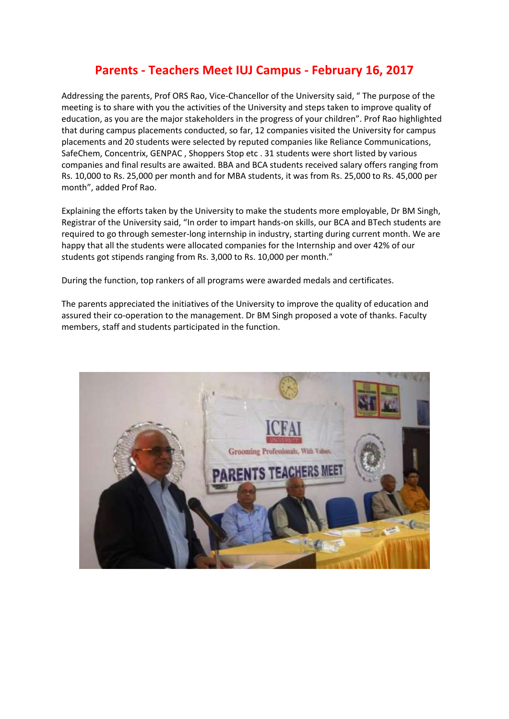## **Parents - Teachers Meet IUJ Campus - February 16, 2017**

Addressing the parents, Prof ORS Rao, Vice-Chancellor of the University said, " The purpose of the meeting is to share with you the activities of the University and steps taken to improve quality of education, as you are the major stakeholders in the progress of your children". Prof Rao highlighted that during campus placements conducted, so far, 12 companies visited the University for campus placements and 20 students were selected by reputed companies like Reliance Communications, SafeChem, Concentrix, GENPAC, Shoppers Stop etc. 31 students were short listed by various companies and final results are awaited. BBA and BCA students received salary offers ranging from Rs. 10,000 to Rs. 25,000 per month and for MBA students, it was from Rs. 25,000 to Rs. 45,000 per month", added Prof Rao.

Explaining the efforts taken by the University to make the students more employable, Dr BM Singh, Registrar of the University said, "In order to impart hands-on skills, our BCA and BTech students are required to go through semester-long internship in industry, starting during current month. We are happy that all the students were allocated companies for the Internship and over 42% of our students got stipends ranging from Rs. 3,000 to Rs. 10,000 per month."

During the function, top rankers of all programs were awarded medals and certificates.

The parents appreciated the initiatives of the University to improve the quality of education and assured their co-operation to the management. Dr BM Singh proposed a vote of thanks. Faculty members, staff and students participated in the function.

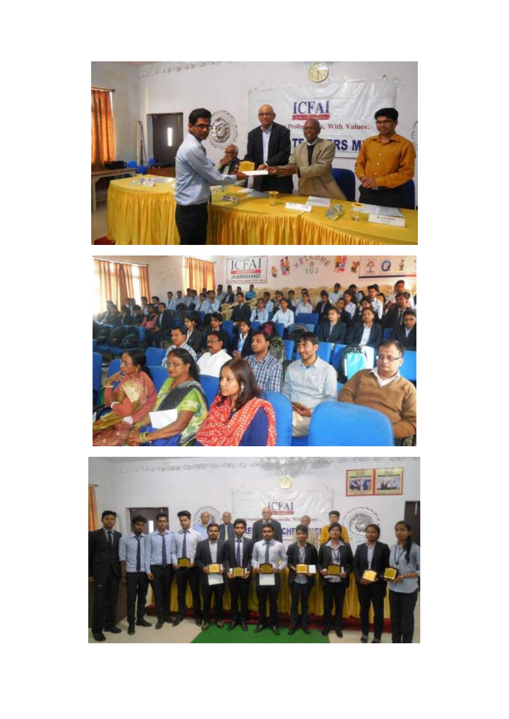